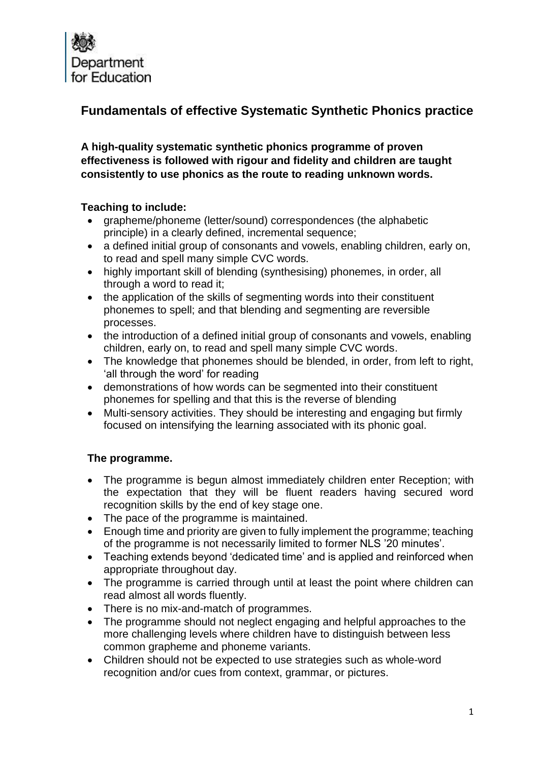

# **Fundamentals of effective Systematic Synthetic Phonics practice**

**A high-quality systematic synthetic phonics programme of proven effectiveness is followed with rigour and fidelity and children are taught consistently to use phonics as the route to reading unknown words.**

# **Teaching to include:**

- grapheme/phoneme (letter/sound) correspondences (the alphabetic principle) in a clearly defined, incremental sequence;
- a defined initial group of consonants and vowels, enabling children, early on, to read and spell many simple CVC words.
- highly important skill of blending (synthesising) phonemes, in order, all through a word to read it;
- the application of the skills of segmenting words into their constituent phonemes to spell; and that blending and segmenting are reversible processes.
- the introduction of a defined initial group of consonants and vowels, enabling children, early on, to read and spell many simple CVC words.
- The knowledge that phonemes should be blended, in order, from left to right, 'all through the word' for reading
- demonstrations of how words can be segmented into their constituent phonemes for spelling and that this is the reverse of blending
- Multi-sensory activities. They should be interesting and engaging but firmly focused on intensifying the learning associated with its phonic goal.

# **The programme.**

- The programme is begun almost immediately children enter Reception; with the expectation that they will be fluent readers having secured word recognition skills by the end of key stage one.
- The pace of the programme is maintained.
- Enough time and priority are given to fully implement the programme; teaching of the programme is not necessarily limited to former NLS '20 minutes'.
- Teaching extends beyond 'dedicated time' and is applied and reinforced when appropriate throughout day.
- The programme is carried through until at least the point where children can read almost all words fluently.
- There is no mix-and-match of programmes.
- The programme should not neglect engaging and helpful approaches to the more challenging levels where children have to distinguish between less common grapheme and phoneme variants.
- Children should not be expected to use strategies such as whole-word recognition and/or cues from context, grammar, or pictures.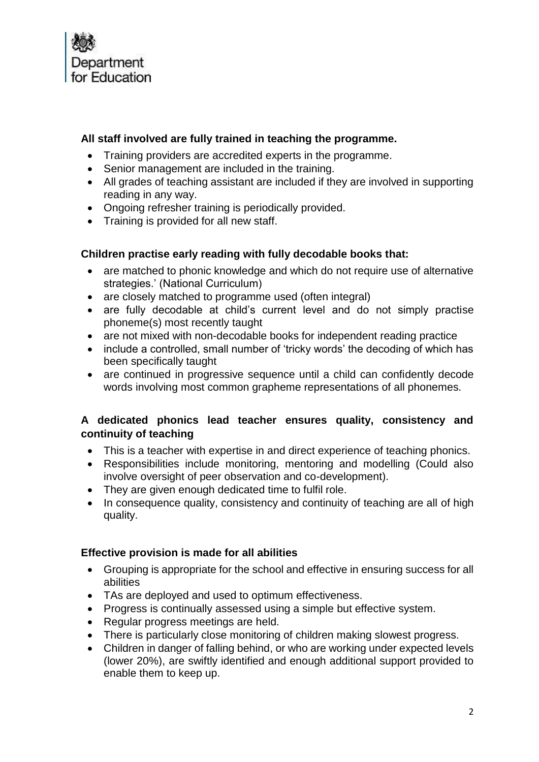

# **All staff involved are fully trained in teaching the programme.**

- Training providers are accredited experts in the programme.
- Senior management are included in the training.
- All grades of teaching assistant are included if they are involved in supporting reading in any way.
- Ongoing refresher training is periodically provided.
- Training is provided for all new staff.

#### **Children practise early reading with fully decodable books that:**

- are matched to phonic knowledge and which do not require use of alternative strategies.' (National Curriculum)
- are closely matched to programme used (often integral)
- are fully decodable at child's current level and do not simply practise phoneme(s) most recently taught
- are not mixed with non-decodable books for independent reading practice
- include a controlled, small number of 'tricky words' the decoding of which has been specifically taught
- are continued in progressive sequence until a child can confidently decode words involving most common grapheme representations of all phonemes.

# **A dedicated phonics lead teacher ensures quality, consistency and continuity of teaching**

- This is a teacher with expertise in and direct experience of teaching phonics.
- Responsibilities include monitoring, mentoring and modelling (Could also involve oversight of peer observation and co-development).
- They are given enough dedicated time to fulfil role.
- In consequence quality, consistency and continuity of teaching are all of high quality.

#### **Effective provision is made for all abilities**

- Grouping is appropriate for the school and effective in ensuring success for all abilities
- TAs are deployed and used to optimum effectiveness.
- Progress is continually assessed using a simple but effective system.
- Regular progress meetings are held.
- There is particularly close monitoring of children making slowest progress.
- Children in danger of falling behind, or who are working under expected levels (lower 20%), are swiftly identified and enough additional support provided to enable them to keep up.